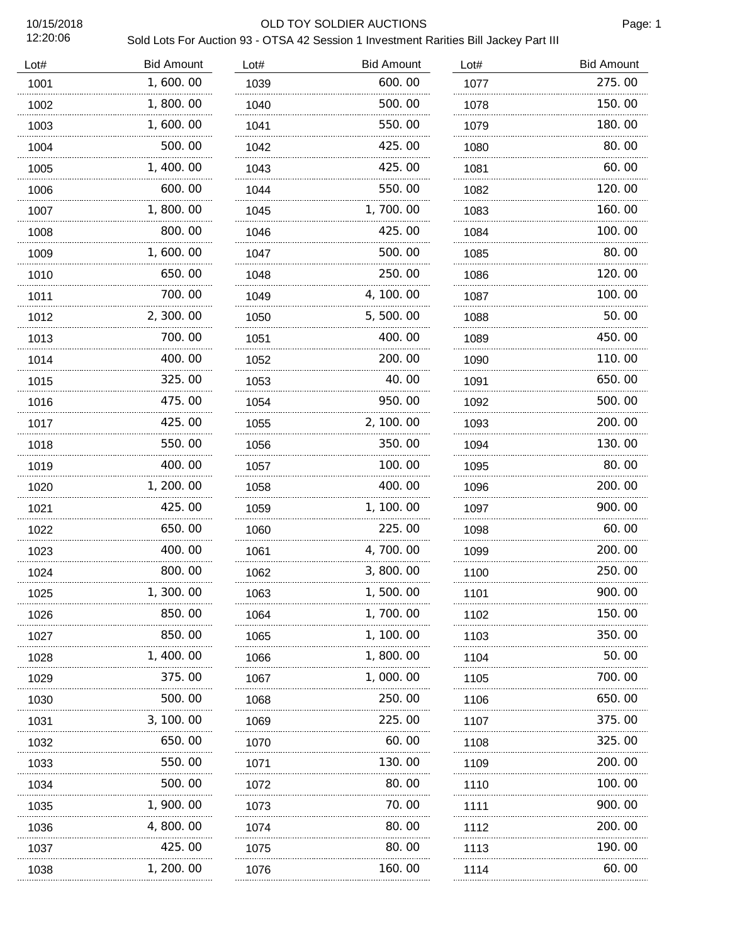12:20:06

### 10/15/2018 OLD TOY SOLDIER AUCTIONS

# Sold Lots For Auction 93 - OTSA 42 Session 1 Investment Rarities Bill Jackey Part III

| Lot# | <b>Bid Amount</b> | Lot# | <b>Bid Amount</b> | Lot# | <b>Bid Amount</b> |
|------|-------------------|------|-------------------|------|-------------------|
| 1001 | 1,600.00          | 1039 | 600.00            | 1077 | 275.00            |
| 1002 | 1,800.00          | 1040 | 500.00            | 1078 | 150.00            |
| 1003 | 1,600.00          | 1041 | 550.00            | 1079 | 180.00            |
| 1004 | 500.00            | 1042 | 425.00            | 1080 | 80.00             |
| 1005 | 1,400.00          | 1043 | 425.00            | 1081 | 60.00             |
| 1006 | 600.00            | 1044 | 550.00            | 1082 | 120.00            |
| 1007 | 1,800.00          | 1045 | 1,700.00          | 1083 | 160.00            |
| 1008 | 800.00            | 1046 | 425.00            | 1084 | 100.00            |
| 1009 | 1,600.00          | 1047 | 500.00            | 1085 | 80.00             |
| 1010 | 650.00            | 1048 | 250.00            | 1086 | 120.00            |
| 1011 | 700.00            | 1049 | 4, 100.00         | 1087 | 100.00            |
| 1012 | 2, 300.00         | 1050 | 5, 500.00         | 1088 | 50.00             |
| 1013 | 700.00            | 1051 | 400.00            | 1089 | 450.00            |
| 1014 | 400.00            | 1052 | 200.00            | 1090 | 110.00            |
| 1015 | 325.00            | 1053 | 40.00             | 1091 | 650.00            |
| 1016 | 475.00            | 1054 | 950.00            | 1092 | 500.00            |
| 1017 | 425.00            | 1055 | 2, 100.00         | 1093 | 200.00            |
| 1018 | 550.00            | 1056 | 350.00            | 1094 | 130.00            |
| 1019 | 400.00            | 1057 | 100.00            | 1095 | 80.00             |
| 1020 | 1, 200. 00        | 1058 | 400.00            | 1096 | 200.00            |
| 1021 | 425.00            | 1059 | 1, 100.00         | 1097 | 900.00            |
| 1022 | 650.00            | 1060 | 225.00            | 1098 | 60.00             |
| 1023 | 400.00            | 1061 | 4, 700. 00        | 1099 | 200.00            |
| 1024 | 800.00            | 1062 | 3,800.00          | 1100 | 250.00            |
| 1025 | 300.00            | 1063 | 1,500.00          | 1101 | 900.00            |
| 1026 | 850.00            | 1064 | 1, 700, 00        | 1102 | 150.00            |
| 1027 | 850.00            | 1065 | 1, 100. 00        | 1103 | 350. 00           |
| 1028 | 1, 400. 00        | 1066 | 1,800.00          | 1104 | 50.00             |
| 1029 | 375.00            | 1067 | 1,000.00          | 1105 | 700.00            |
| 1030 | 500.00            | 1068 | 250.00            | 1106 | 650.00            |
| 1031 | 3, 100, 00        | 1069 | 225.00            | 1107 | 375.00            |
| 1032 | 650.00            | 1070 | 60.00             | 1108 | 325.00            |
| 1033 | 550.00            | 1071 | 130. 00           | 1109 | 200.00            |
| 1034 | 500.00            | 1072 | 80.00             | 1110 | 100.00            |
| 1035 | 1, 900. 00        | 1073 | 70.00             | 1111 | 900.00            |
| 1036 | 4,800.00          | 1074 | 80.00             | 1112 | 200.00            |
| 1037 | 425.00            | 1075 | 80.00             | 1113 | 190.00            |
| 1038 | 1, 200. 00        | 1076 | 160.00            | 1114 | 60.00             |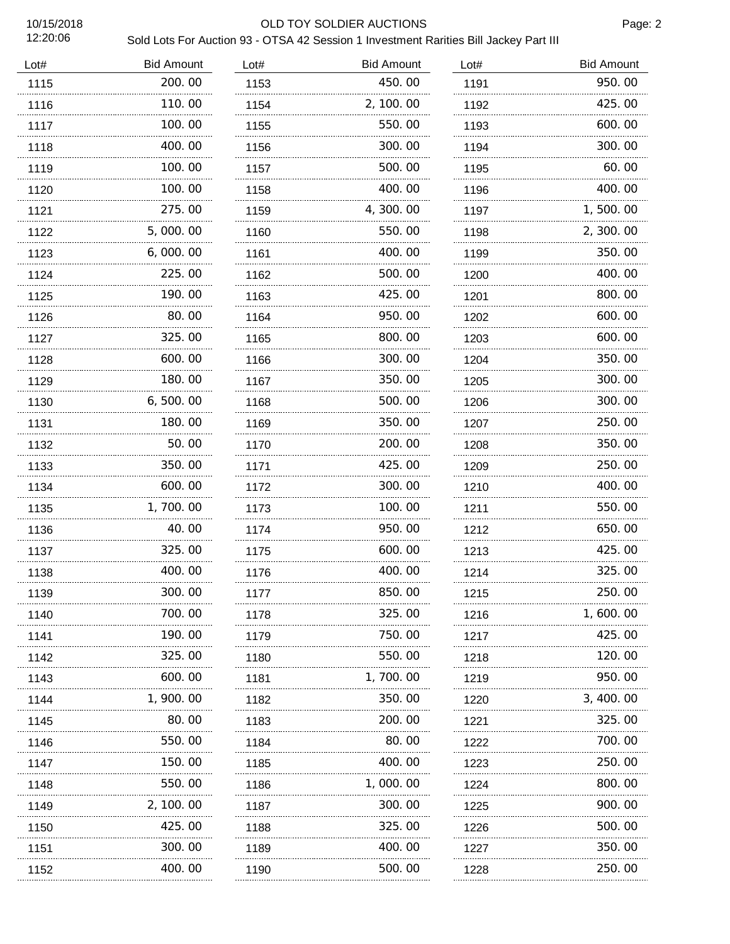12:20:06

### 10/15/2018 OLD TOY SOLDIER AUCTIONS

# Sold Lots For Auction 93 - OTSA 42 Session 1 Investment Rarities Bill Jackey Part III

| Lot# | <b>Bid Amount</b> | Lot# | <b>Bid Amount</b> | Lot# | <b>Bid Amount</b> |
|------|-------------------|------|-------------------|------|-------------------|
| 1115 | 200.00            | 1153 | 450.00            | 1191 | 950.00            |
| 1116 | 110.00            | 1154 | 2, 100.00         | 1192 | 425.00            |
| 1117 | 100.00            | 1155 | 550.00            | 1193 | 600.00            |
| 1118 | 400.00            | 1156 | 300.00            | 1194 | 300.00            |
| 1119 | 100.00            | 1157 | 500.00            | 1195 | 60.00             |
| 1120 | 100.00            | 1158 | 400.00            | 1196 | 400.00            |
| 1121 | 275.00            | 1159 | 4,300.00          | 1197 | 1,500.00          |
| 1122 | 5,000.00          | 1160 | 550.00            | 1198 | 2, 300.00         |
| 1123 | 6,000.00          | 1161 | 400.00            | 1199 | 350.00            |
| 1124 | 225.00<br>.       | 1162 | 500.00<br>        | 1200 | 400.00            |
| 1125 | 190.00            | 1163 | 425.00            | 1201 | 800.00            |
| 1126 | 80.00             | 1164 | 950.00            | 1202 | 600.00            |
| 1127 | 325.00            | 1165 | 800.00            | 1203 | 600.00            |
| 1128 | 600.00            | 1166 | 300.00            | 1204 | 350.00            |
| 1129 | 180.00            | 1167 | 350.00            | 1205 | 300.00            |
| 1130 | 6, 500.00         | 1168 | 500.00            | 1206 | 300.00            |
| 1131 | 180.00            | 1169 | 350.00            | 1207 | 250.00            |
| 1132 | 50.00             | 1170 | 200.00            | 1208 | 350.00            |
| 1133 | 350.00            | 1171 | 425.00            | 1209 | 250.00            |
| 1134 | 600.00            | 1172 | 300.00            | 1210 | 400.00            |
| 1135 | 1,700.00          | 1173 | 100, 00           | 1211 | 550.00            |
| 1136 | 40.00             | 1174 | 950.00            | 1212 | 650.00            |
| 1137 | 325.00            | 1175 | 600.00            | 1213 | 425.00            |
| 1138 | 400.00            | 1176 | 400.00            | 1214 | 325.00            |
| 1139 | 300.00            | 1177 | 850.00            | 1215 | 250.00            |
| 1140 | 700.00            | 1178 | 325.00            | 1216 | 1, 600. 00        |
| 1141 | 190.00            | 1179 | 750.00            | 1217 | 425.00            |
| 1142 | 325.00            | 1180 | 550.00            | 1218 | 120.00            |
| 1143 | 600.00            | 1181 | 1, 700. 00        | 1219 | 950.00            |
| 1144 | 1, 900. 00        | 1182 | 350.00            | 1220 | 3, 400, 00        |
| 1145 | 80.00             | 1183 | 200.00            | 1221 | 325.00            |
| 1146 | 550.00            | 1184 | 80.00             | 1222 | 700.00            |
| 1147 | 150.00            | 1185 | 400.00            | 1223 | 250.00            |
| 1148 | 550.00            | 1186 | 1,000.00          | 1224 | 800.00            |
| 1149 | 2, 100. 00        | 1187 | 300.00            | 1225 | 900.00            |
| 1150 | 425.00            | 1188 | 325.00            | 1226 | 500.00            |
| 1151 | 300.00            | 1189 | 400.00            | 1227 | 350.00            |
| 1152 | 400.00            | 1190 | 500.00            | 1228 | 250.00            |
|      |                   |      |                   |      |                   |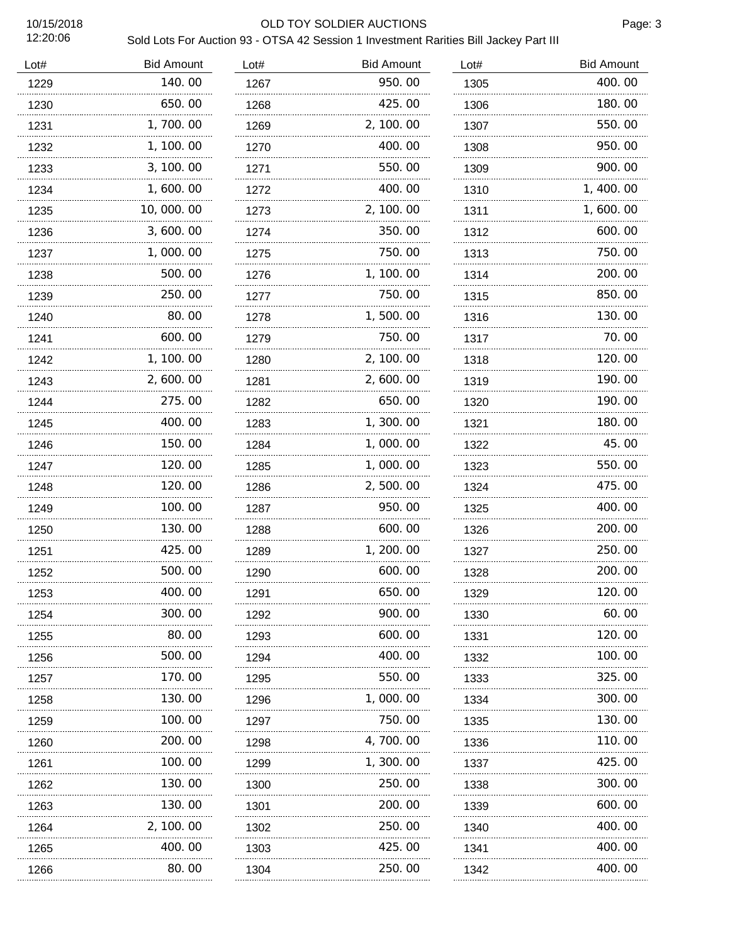12:20:06

### 10/15/2018 OLD TOY SOLDIER AUCTIONS

# Sold Lots For Auction 93 - OTSA 42 Session 1 Investment Rarities Bill Jackey Part III

| Lot# | <b>Bid Amount</b> | Lot# | <b>Bid Amount</b> | Lot# | <b>Bid Amount</b> |
|------|-------------------|------|-------------------|------|-------------------|
| 1229 | 140.00            | 1267 | 950.00            | 1305 | 400.00            |
| 1230 | 650.00            | 1268 | 425.00            | 1306 | 180.00            |
| 1231 | 1, 700. 00        | 1269 | 2, 100.00         | 1307 | 550.00            |
| 1232 | 1, 100. 00        | 1270 | 400.00            | 1308 | 950.00            |
| 1233 | 3, 100. 00        | 1271 | 550.00            | 1309 | 900.00            |
| 1234 | 1,600.00          | 1272 | 400.00            | 1310 | 1, 400. 00        |
| 1235 | 10,000.00         | 1273 | 2, 100.00         | 1311 | 1,600.00          |
| 1236 | 3,600.00          | 1274 | 350.00            | 1312 | 600.00            |
| 1237 | 1,000.00          | 1275 | 750.00            | 1313 | 750.00            |
| 1238 | 500.00            | 1276 | 1, 100. 00        | 1314 | 200.00            |
| 1239 | 250.00            | 1277 | 750.00            | 1315 | 850.00            |
| 1240 | 80.00             | 1278 | 1,500.00          | 1316 | 130.00            |
| 1241 | 600.00            | 1279 | 750.00            | 1317 | 70.00             |
| 1242 | 1, 100.00         | 1280 | 2, 100. 00        | 1318 | 120.00            |
| 1243 | 2,600.00          | 1281 | 2,600.00          | 1319 | 190.00            |
| 1244 | 275.00            | 1282 | 650.00            | 1320 | 190.00            |
| 1245 | 400.00            | 1283 | 1, 300.00         | 1321 | 180.00            |
| 1246 | 150.00            | 1284 | 1,000.00          | 1322 | 45.00             |
| 1247 | 120.00            | 1285 | 1,000.00          | 1323 | 550.00            |
| 1248 | 120.00            | 1286 | 2,500.00          | 1324 | 475.00            |
| 1249 | 100.00            | 1287 | 950.00            | 1325 | 400.00            |
| 1250 | 130.00            | 1288 | 600.00            | 1326 | 200.00            |
| 1251 | 425.00            | 1289 | 1, 200. 00        | 1327 | 250.00            |
| 1252 | 500.00            | 1290 | 600.00            | 1328 | 200.00            |
| 1253 | 400.00            | 1291 | 650.00            | 1329 | 120.00            |
| 1254 | 300.00            | 1292 | 900.00            | 1330 | 60.00             |
| 1255 | 80.00             | 1293 | 600.00            | 1331 | 120.00            |
| 1256 | 500.00            | 1294 | 400.00            | 1332 | 100.00            |
| 1257 | 170.00            | 1295 | 550.00            | 1333 | 325.00            |
| 1258 | 130.00            | 1296 | 1,000.00          | 1334 | 300.00            |
| 1259 | 100.00            | 1297 | 750.00            | 1335 | 130.00            |
| 1260 | 200, 00           | 1298 | 4, 700. 00        | 1336 | 110.00            |
| 1261 | 100.00            | 1299 | 1, 300. 00        | 1337 | 425.00            |
| 1262 | 130. 00           | 1300 | 250.00            | 1338 | 300.00            |
| 1263 | 130.00            | 1301 | 200.00            | 1339 | 600.00            |
| 1264 | 2, 100, 00        | 1302 | 250.00            | 1340 | 400.00            |
| 1265 | 400.00            | 1303 | 425.00            | 1341 | 400.00            |
| 1266 | 80.00             | 1304 | 250.00            | 1342 | 400.00            |
|      |                   |      |                   |      |                   |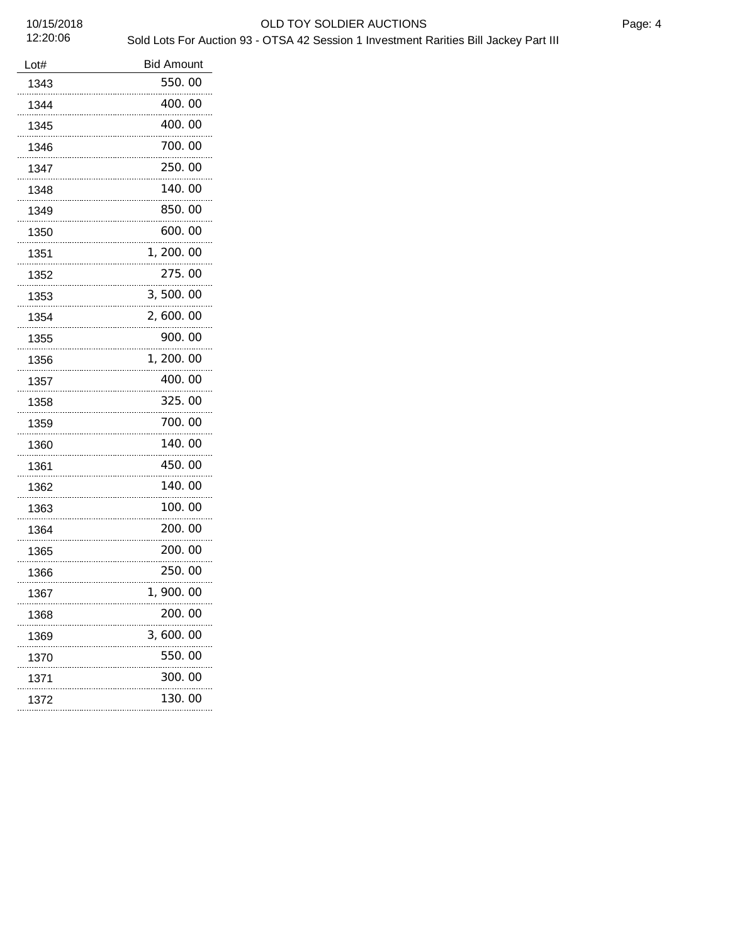# 10/15/2018 OLD TOY SOLDIER AUCTIONS Sold Lots For Auction 93 - OTSA 42 Session 1 Investment Rarities Bill Jackey Part III

| OLD IC         |  |
|----------------|--|
| on 93 - OTSA 4 |  |
|                |  |
|                |  |
|                |  |
|                |  |

| Lot#      | <b>Bid Amount</b> |  |  |  |
|-----------|-------------------|--|--|--|
| 1343      | 550.00            |  |  |  |
| 1344      | 400.00            |  |  |  |
| 1345      | 400.00            |  |  |  |
| 1346      | 700.00            |  |  |  |
| 1347      | 250.00            |  |  |  |
| 1348      | 140.00            |  |  |  |
| 1349      | 850.00            |  |  |  |
| 1350      | 600.00            |  |  |  |
| 1351      | 1, 200. 00        |  |  |  |
| 1352      | 275.00            |  |  |  |
| 1353      | 3,500.00          |  |  |  |
| 1354      | 2, 600. 00        |  |  |  |
| 1355      | 900.00            |  |  |  |
| 1356      | 1, 200. 00        |  |  |  |
| 1357      | 400.00            |  |  |  |
| 1358      | 325.00            |  |  |  |
| 1359      | 700.00            |  |  |  |
| 1360      | 140.00            |  |  |  |
| 1361      | 450.00            |  |  |  |
| 1362      | 140.00            |  |  |  |
| 1363      | 100. 00           |  |  |  |
| 1364      | 200.00            |  |  |  |
| 1365      | 200.00            |  |  |  |
| 1366      | 250.00            |  |  |  |
| 1367<br>. | 1.<br>900.00      |  |  |  |
| 1368      | 200.00            |  |  |  |
| 1369      | 3,600.00          |  |  |  |
| 1370      | 550.00            |  |  |  |
| 1371<br>. | 300.00            |  |  |  |
| 1372      | 130.00            |  |  |  |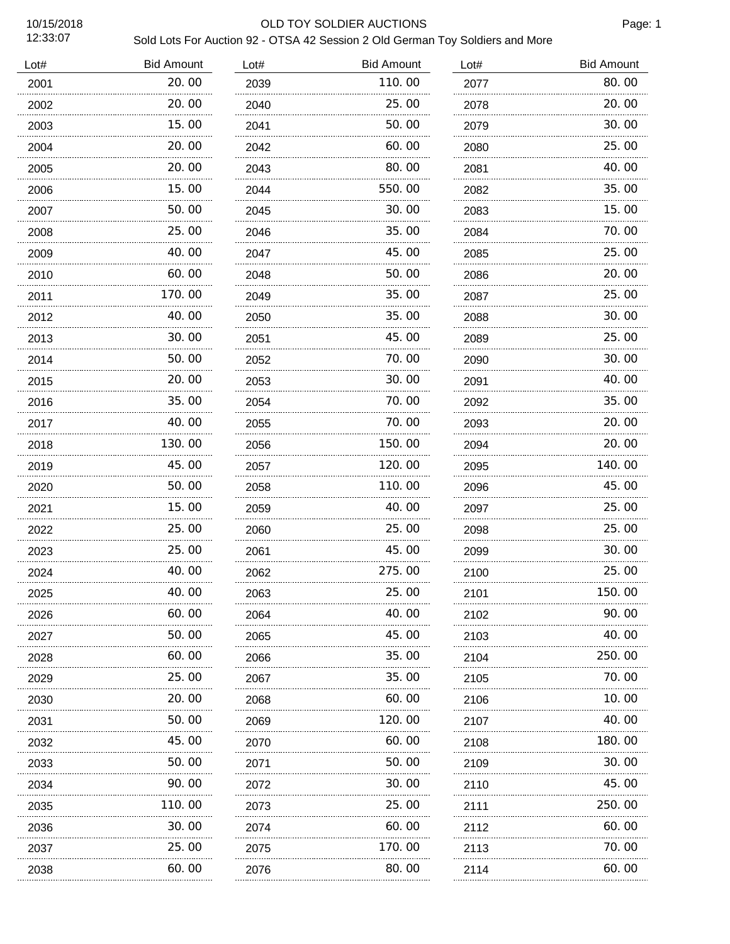### 10/15/2018 OLD TOY SOLDIER AUCTIONS

| Lot# | <b>Bid Amount</b> | Lot# | <b>Bid Amount</b> | Lot# | <b>Bid Amount</b> |
|------|-------------------|------|-------------------|------|-------------------|
| 2001 | 20.00<br>.        | 2039 | 110.00            | 2077 | 80.00             |
| 2002 | 20.00             | 2040 | 25.00             | 2078 | 20.00             |
| 2003 | 15.00             | 2041 | 50. 00            | 2079 | 30.00             |
| 2004 | 20.00             | 2042 | 60.00             | 2080 | 25.00             |
| 2005 | 20.00             | 2043 | 80.00             | 2081 | 40.00             |
| 2006 | 15.00             | 2044 | 550.00            | 2082 | 35.00             |
| 2007 | 50.00             | 2045 | 30.00             | 2083 | 15.00             |
| 2008 | 25.00             | 2046 | 35.00             | 2084 | 70.00             |
| 2009 | 40.00             | 2047 | 45.00             | 2085 | 25.00             |
| 2010 | 60.00             | 2048 | 50.00             | 2086 | 20.00             |
| 2011 | 170.00            | 2049 | 35.00             | 2087 | 25.00             |
| 2012 | 40.00             | 2050 | 35.00             | 2088 | 30.00             |
| 2013 | 30.00             | 2051 | 45.00             | 2089 | 25.00             |
| 2014 | 50.00             | 2052 | 70.00             | 2090 | 30.00             |
| 2015 | 20.00             | 2053 | 30.00             | 2091 | 40.00             |
| 2016 | 35.00             | 2054 | 70.00             | 2092 | 35.00             |
| 2017 | 40.00             | 2055 | 70.00             | 2093 | 20.00             |
| 2018 | 130.00            | 2056 | 150.00            | 2094 | 20.00             |
| 2019 | 45.00             | 2057 | 120.00            | 2095 | 140.00            |
| 2020 | 50.00             | 2058 | 110.00            | 2096 | 45.00             |
| 2021 | 15.00             | 2059 | 40.00             | 2097 | 25.00             |
| 2022 | 25.00             | 2060 | 25.00             | 2098 | 25.00             |
| 2023 | 25.00             | 2061 | 45.00             | 2099 | 30.00             |
| 2024 | 40.00             | 2062 | 275.00            | 2100 | 25.00             |
| 2025 | 40.00             | 2063 | 25.00             | 2101 | 150. 00           |
| 2026 | 60.00             | 2064 | 40.00             | 2102 | 90.00             |
| 2027 | 50.00             | 2065 | 45.00             | 2103 | 40.00             |
| 2028 | 60.00             | 2066 | 35.00             | 2104 | 250. 00           |
| 2029 | 25.00             | 2067 | 35.00             | 2105 | 70. 00            |
| 2030 | 20.00             | 2068 | 60.00             | 2106 | 10.00             |
| 2031 | 50. 00            | 2069 | 120.00            | 2107 | 40.00             |
| 2032 | 45.00             | 2070 | 60.00             | 2108 | 180.00            |
| 2033 | 50.00             | 2071 | 50.00             | 2109 | 30. 00            |
| 2034 | 90.00             | 2072 | 30.00             | 2110 | 45.00             |
| 2035 | 110.00            | 2073 | 25.00             | 2111 | 250.00            |
| 2036 | .<br>30.00        | 2074 | 60.00             | 2112 | 60.00             |
| 2037 | 25.00             | 2075 | 170.00            | 2113 | 70. 00            |
| 2038 | .<br>60.00        | 2076 | .<br>80.00        | 2114 | 60.00             |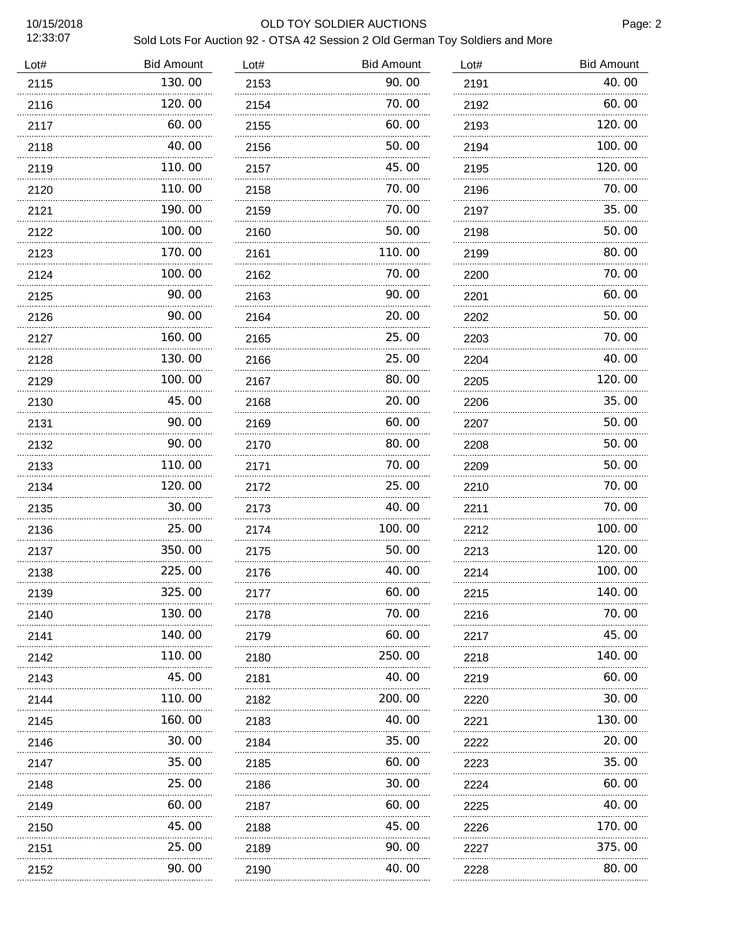### 10/15/2018 OLD TOY SOLDIER AUCTIONS

| Lot# | <b>Bid Amount</b> | Lot# | <b>Bid Amount</b> | Lot# | <b>Bid Amount</b> |
|------|-------------------|------|-------------------|------|-------------------|
| 2115 | 130.00            | 2153 | 90.00             | 2191 | 40.00             |
| 2116 | 120.00            | 2154 | 70.00             | 2192 | 60.00             |
| 2117 | 60.00             | 2155 | 60.00             | 2193 | 120.00            |
| 2118 | 40.00             | 2156 | 50.00             | 2194 | 100.00            |
| 2119 | 110.00            | 2157 | 45.00             | 2195 | 120.00            |
| 2120 | 110.00            | 2158 | 70.00             | 2196 | 70.00             |
| 2121 | 190.00            | 2159 | 70.00             | 2197 | 35.00             |
| 2122 | 100.00            | 2160 | 50.00             | 2198 | 50.00             |
| 2123 | 170.00            | 2161 | 110. 00           | 2199 | 80.00             |
| 2124 | 100.00            | 2162 | 70.00             | 2200 | 70.00             |
| 2125 | 90.00             | 2163 | 90. OO            | 2201 | 60.00             |
| 2126 | 90.00             | 2164 | 20.00             | 2202 | 50.00             |
| 2127 | 160.00            | 2165 | 25.00             | 2203 | 70.00             |
| 2128 | 130.00            | 2166 | 25.00             | 2204 | 40.00             |
| 2129 | 100.00            | 2167 | 80.00             | 2205 | 120.00            |
| 2130 | 45.00             | 2168 | 20.00             | 2206 | 35.00             |
| 2131 | 90.00             | 2169 | 60.00             | 2207 | 50.00             |
| 2132 | 90.00<br>.        | 2170 | 80.00             | 2208 | 50.00             |
| 2133 | 110.00            | 2171 | 70.00             | 2209 | 50.00             |
| 2134 | 120.00<br>.       | 2172 | 25.00             | 2210 | 70.00             |
| 2135 | 30.00             | 2173 | 40. 00            | 2211 | 70.00             |
| 2136 | 25.00<br>.        | 2174 | 100.00            | 2212 | 100.00            |
| 2137 | 350.00            | 2175 | 50.00             | 2213 | 120.00            |
| 2138 | 225.00            | 2176 | 40.00             | 2214 | 100.00            |
| 2139 | 325.00            | 2177 | 60.00             | 2215 | 140.00            |
| 2140 | 130.00            | 2178 | 70.00             | 2216 | 70.00             |
| 2141 | 140.00            | 2179 | 60.00             | 2217 | 45.00             |
| 2142 | 110.00            | 2180 | 250.00            | 2218 | 140.00            |
| 2143 | 45.00             | 2181 | 40.00             | 2219 | 60.00             |
| 2144 | 110.00            | 2182 | 200.00            | 2220 | 30.00             |
| 2145 | 160.00            | 2183 | 40.00             | 2221 | 130.00            |
| 2146 | 30.00             | 2184 | 35.00             | 2222 | 20.00             |
| 2147 | 35.00             | 2185 | 60. 00            | 2223 | 35.00             |
| 2148 | 25.00             | 2186 | 30.00             | 2224 | 60.00             |
| 2149 | 60.00             | 2187 | 60. 00            | 2225 | 40.00             |
| 2150 | 45.00             | 2188 | 45.00             | 2226 | 170.00            |
| 2151 | 25.00             | 2189 | 90. OO            | 2227 | 375.00            |
| 2152 | 90.00             | 2190 | 40.00             | 2228 | 80.00             |
|      |                   |      |                   |      |                   |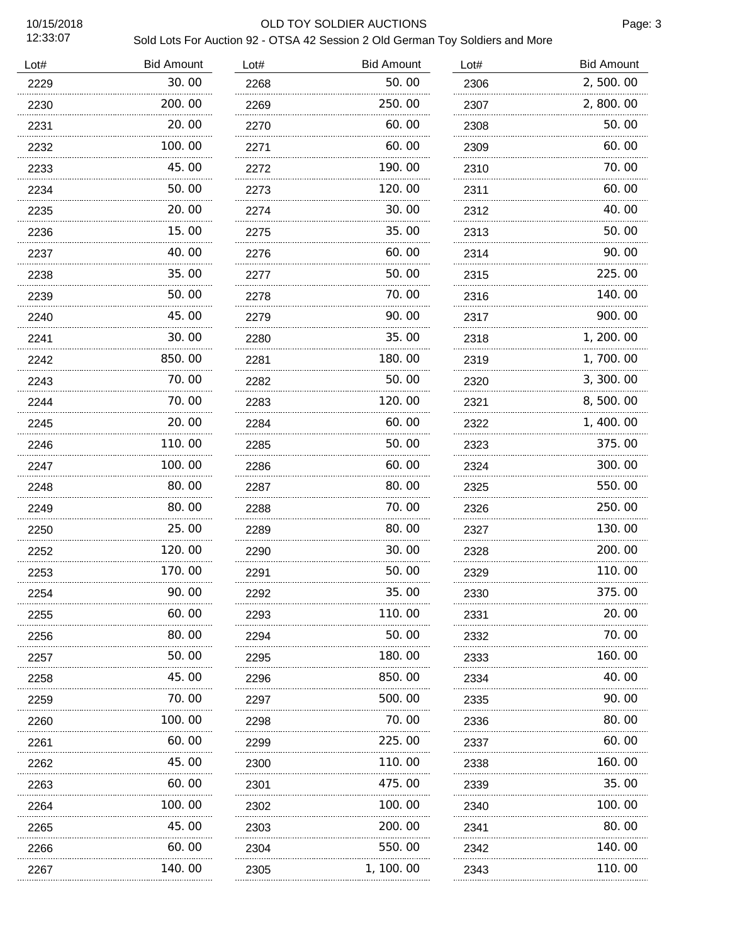### 10/15/2018 OLD TOY SOLDIER AUCTIONS

| Lot# | <b>Bid Amount</b> | Lot# | <b>Bid Amount</b> | Lot# | <b>Bid Amount</b> |
|------|-------------------|------|-------------------|------|-------------------|
| 2229 | 30.00             | 2268 | 50.00             | 2306 | 2,500.00          |
| 2230 | 200.00            | 2269 | 250.00            | 2307 | 2,800.00          |
| 2231 | 20.00             | 2270 | 60.00             | 2308 | 50.00             |
| 2232 | 100.00            | 2271 | 60.00             | 2309 | 60.00             |
| 2233 | 45.00             | 2272 | 190.00            | 2310 | 70.00             |
| 2234 | 50.00             | 2273 | 120.00            | 2311 | 60.00             |
| 2235 | 20.00             | 2274 | 30.00             | 2312 | 40.00             |
| 2236 | 15.00             | 2275 | 35.00             | 2313 | 50.00             |
| 2237 | 40.00             | 2276 | 60.00             | 2314 | 90.00             |
| 2238 | 35.00             | 2277 | 50.00             | 2315 | 225.00            |
| 2239 | 50.00             | 2278 | 70.00             | 2316 | 140.00            |
| 2240 | 45.00             | 2279 | 90.00             | 2317 | 900.00            |
| 2241 | 30.00             | 2280 | 35.00             | 2318 | 1, 200. 00        |
| 2242 | 850.00            | 2281 | 180.00            | 2319 | 1,700.00          |
| 2243 | 70.00             | 2282 | 50.00             | 2320 | 3, 300.00         |
| 2244 | 70.00             | 2283 | 120.00            | 2321 | 8,500.00          |
| 2245 | 20.00             | 2284 | 60.00             | 2322 | 1,400.00          |
| 2246 | 110.00            | 2285 | 50.00             | 2323 | 375.00            |
| 2247 | 100.00            | 2286 | 60.00             | 2324 | 300.00            |
| 2248 | 80.00             | 2287 | 80.00             | 2325 | 550.00            |
| 2249 | 80.00             | 2288 | 70.00             | 2326 | 250.00            |
| 2250 | 25.00             | 2289 | 80.00             | 2327 | 130.00            |
| 2252 | 120.00            | 2290 | 30.00             | 2328 | 200.00            |
| 2253 | 170.00            | 2291 | 50.00             | 2329 | 110.00            |
| 2254 | 90.00             | 2292 | 35.00             | 2330 | 375.00            |
| 2255 | 60. 00            | 2293 | 110. 00           | 2331 | 20. 00            |
| 2256 | 80. OO            | 2294 | 50.00             | 2332 | 70.00             |
| 2257 | 50. 00            | 2295 | 180. 00           | 2333 | 160. 00           |
| 2258 | 45. OO            | 2296 | 850.00            | 2334 | 40.00             |
| 2259 | 70. 00            | 2297 | 500.00            | 2335 | 90.00             |
| 2260 | 100. 00           | 2298 | 70.00             | 2336 | 80.00             |
| 2261 | 60. 00            | 2299 | 225.00            | 2337 | 60.00             |
| 2262 | 45. OO            | 2300 | 110.00            | 2338 | 160. 00           |
| 2263 | 60.00             | 2301 | 475.00            | 2339 | 35.00             |
| 2264 | 100. 00           | 2302 | 100.00            | 2340 | 100. 00           |
| 2265 | 45.00             | 2303 | 200.00            | 2341 | 80.00             |
| 2266 | 60. 00            | 2304 | 550.00            | 2342 | 140.00            |
| 2267 | 140.00            | 2305 | 1, 100. 00        | 2343 | 110.00            |
|      |                   |      |                   |      |                   |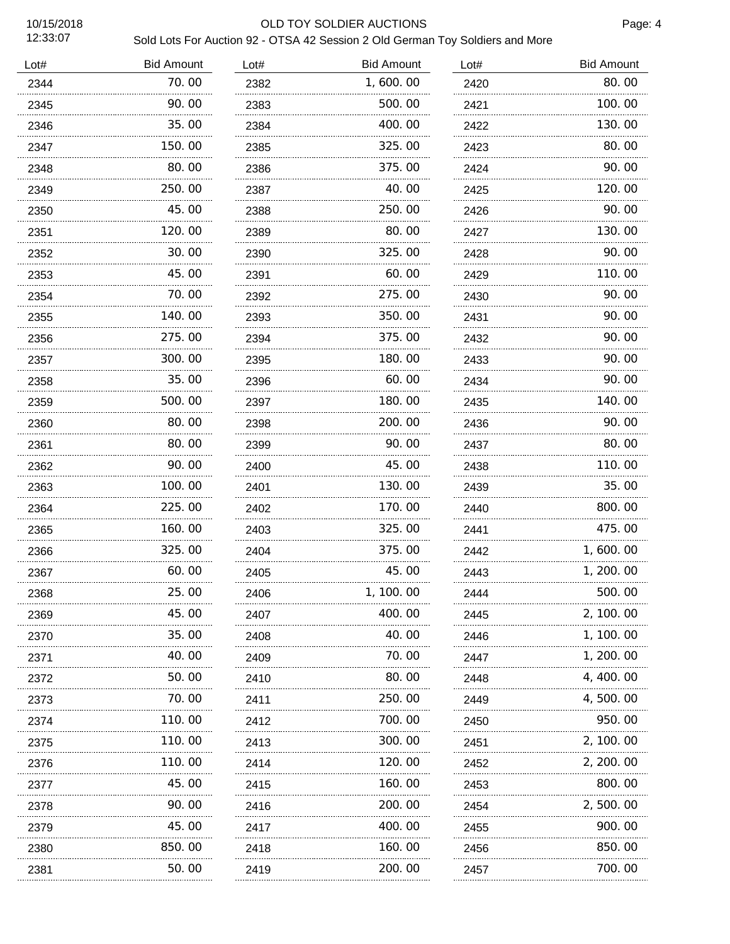### 10/15/2018 OLD TOY SOLDIER AUCTIONS

| Lot# | <b>Bid Amount</b> | Lot# | <b>Bid Amount</b> | Lot# | <b>Bid Amount</b> |
|------|-------------------|------|-------------------|------|-------------------|
| 2344 | 70.00             | 2382 | 1,600.00          | 2420 | 80.00             |
| 2345 | 90.00             | 2383 | 500.00            | 2421 | 100.00            |
| 2346 | 35.00             | 2384 | 400.00            | 2422 | 130.00            |
| 2347 | 150.00            | 2385 | 325.00            | 2423 | 80.00             |
| 2348 | 80.00             | 2386 | 375.00            | 2424 | 90.00             |
| 2349 | 250.00            | 2387 | 40. 00            | 2425 | 120.00            |
| 2350 | 45.00             | 2388 | 250.00            | 2426 | 90.00             |
| 2351 | 120.00            | 2389 | 80.00             | 2427 | 130.00            |
| 2352 | 30.00             | 2390 | 325.00            | 2428 | 90.00             |
| 2353 | 45.00             | 2391 | 60.00             | 2429 | 110.00            |
| 2354 | 70.00             | 2392 | 275.00            | 2430 | 90.00             |
| 2355 | 140.00            | 2393 | 350.00            | 2431 | 90.00             |
| 2356 | 275.00            | 2394 | 375.00            | 2432 | 90.00             |
| 2357 | 300.00            | 2395 | 180.00            | 2433 | 90.00             |
| 2358 | 35.00             | 2396 | 60.00             | 2434 | 90.00             |
| 2359 | 500.00            | 2397 | 180.00            | 2435 | 140.00            |
| 2360 | 80.00             | 2398 | 200.00            | 2436 | 90.00             |
| 2361 | 80.00             | 2399 | 90.00             | 2437 | 80.00             |
| 2362 | 90.00             | 2400 | 45.00             | 2438 | 110.00            |
| 2363 | 100.00            | 2401 | 130.00            | 2439 | 35.00             |
| 2364 | 225.00            | 2402 | 170.00            | 2440 | 800.00            |
| 2365 | 160.00            | 2403 | 325.00            | 2441 | 475.00            |
| 2366 | 325.00            | 2404 | 375.00            | 2442 | 1,600.00          |
| 2367 | 60.00             | 2405 | 45.00             | 2443 | 1, 200. 00        |
| 2368 | 25.00             | 2406 | 1, 100. 00        | 2444 | 500.00            |
| 2369 | 45.00             | 2407 | 400.00            | 2445 | 2, 100. 00        |
| 2370 | 35.00             | 2408 | 40.00             | 2446 | 1, 100. 00        |
| 2371 | 40.00             | 2409 | 70. 00            | 2447 | 1, 200. 00        |
| 2372 | 50.00             | 2410 | 80.00             | 2448 | 4, 400. 00        |
| 2373 | 70. 00            | 2411 | 250.00            | 2449 | 4, 500. 00        |
| 2374 | 110. 00           | 2412 | 700. 00           | 2450 | 950.00            |
| 2375 | 110.00            | 2413 | 300.00            | 2451 | 2, 100. 00        |
| 2376 | 110.00            | 2414 | 120. 00           | 2452 | 2, 200. 00        |
| 2377 | 45.00             | 2415 | 160.00            | 2453 | 800.00            |
| 2378 | 90. 00            | 2416 | 200.00            | 2454 | 2, 500, 00        |
| 2379 | 45.00             | 2417 | 400.00            | 2455 | 900.00            |
| 2380 | 850.00            | 2418 | 160.00            | 2456 | 850.00            |
| 2381 | 50.00             | 2419 | 200.00            | 2457 | 700.00            |
|      |                   |      |                   |      |                   |